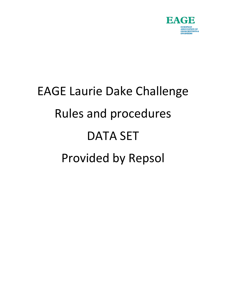

# EAGE Laurie Dake Challenge Rules and procedures DATA SET Provided by Repsol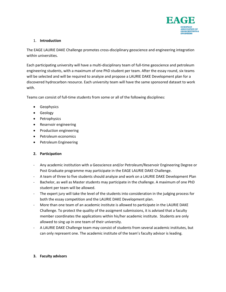

## 1. **Introduction**

The EAGE LAURIE DAKE Challenge promotes cross-disciplinary geoscience and engineering integration within universities.

Each participating university will have a multi-disciplinary team of full-time geoscience and petroleum engineering students, with a maximum of one PhD student per team. After the essay round, six teams will be selected and will be required to analyze and propose a LAURIE DAKE Development plan for a discovered hydrocarbon resource. Each university team will have the same sponsored dataset to work with.

Teams can consist of full-time students from some or all of the following disciplines:

- Geophysics
- Geology
- Petrophysics
- Reservoir engineering
- Production engineering
- Petroleum economics
- Petroleum Engineering

# **2. Participation**

- Any academic institution with a Geoscience and/or Petroleum/Reservoir Engineering Degree or Post Graduate programme may participate in the EAGE LAURIE DAKE Challenge.
- A team of three to five students should analyze and work on a LAURIE DAKE Development Plan
- Bachelor, as well as Master students may participate in the challenge. A maximum of one PhD student per team will be allowed.
- The expert jury will take the level of the students into consideration in the judging process for both the essay competition and the LAURIE DAKE Development plan.
- More than one team of an academic institute is allowed to participate in the LAURIE DAKE Challenge. To protect the quality of the assigment submissions, it is advised that a faculty member coordinates the applications within his/her academic institute. Students are only allowed to sing up in one team of their university.
- A LAURIE DAKE Challenge team may consist of students from several academic institutes, but can only represent one. The academic institute of the team's faculty advisor is leading.

### **3. Faculty advisors**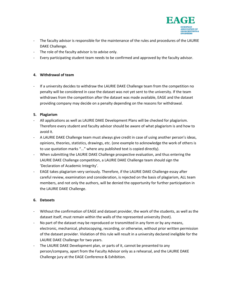

- The faculty advisor is responsible for the maintenance of the rules and procedures of the LAURIE DAKE Challenge.
- The role of the faculty advisor is to advise only.
- Every participating student team needs to be confirmed and approved by the faculty advisor.

### **4. Withdrawal of team**

- If a university decides to withdraw the LAURIE DAKE Challenge team from the competition no penalty will be considered in case the dataset was not yet sent to the university. If the team withdraws from the competition after the dataset was made available, EAGE and the dataset providing company may decide on a penalty depending on the reasons for withdrawal.

### **5. Plagiarism**

- All applications as well as LAURIE DAKE Development Plans will be checked for plagiarism. Therefore every student and faculty advisor should be aware of what plagiarism is and how to avoid it.
- A LAURIE DAKE Challenge team must always give credit in case of using another person's ideas, opinions, theories, statistics, drawings, etc. (one example to acknowledge the work of others is to use quotation marks "..." where any published text is copied directly).
- When submitting the LAURIE DAKE Challenge prospective evaluation, and thus entering the LAURIE DAKE Challenge competition, a LAURIE DAKE Challenge team should sign the 'Declaration of Academic Integrity'.
- EAGE takes plagiarism very seriously. Therefore, if the LAURIE DAKE Challenge essay after careful review, examination and consideration, is rejected on the basis of plagiarism, ALL team members, and not only the authors, will be denied the opportunity for further participation in the LAURIE DAKE Challenge.

# **6. Datasets**

- Without the confirmation of EAGE and dataset provider, the work of the students, as well as the dataset itself, must remain within the walls of the represented university (host).
- No part of the dataset may be reproduced or transmitted in any form or by any means, electronic, mechanical, photocopying, recording, or otherwise, without prior written permission of the dataset provider. Violation of this rule will result in a university declared ineligible for the LAURIE DAKE Challenge for two years.
- The LAURIE DAKE Development plan, or parts of it, cannot be presented to any person/company, apart from the Faculty Advisor only as a rehearsal, and the LAURIE DAKE Challenge jury at the EAGE Conference & Exhibition.